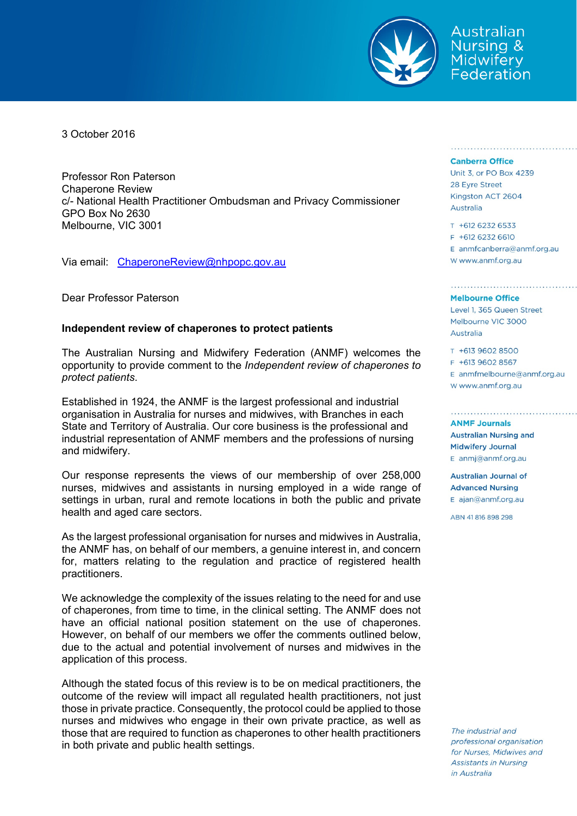

Australian **Nursing &** Midwifery Federation

3 October 2016

Professor Ron Paterson Chaperone Review c/- National Health Practitioner Ombudsman and Privacy Commissioner GPO Box No 2630 Melbourne, VIC 3001

Via email: ChaperoneReview@nhpopc.gov.au

Dear Professor Paterson

## **Independent review of chaperones to protect patients**

The Australian Nursing and Midwifery Federation (ANMF) welcomes the opportunity to provide comment to the *Independent review of chaperones to protect patients*.

Established in 1924, the ANMF is the largest professional and industrial organisation in Australia for nurses and midwives, with Branches in each State and Territory of Australia. Our core business is the professional and industrial representation of ANMF members and the professions of nursing and midwifery.

Our response represents the views of our membership of over 258,000 nurses, midwives and assistants in nursing employed in a wide range of settings in urban, rural and remote locations in both the public and private health and aged care sectors.

As the largest professional organisation for nurses and midwives in Australia, the ANMF has, on behalf of our members, a genuine interest in, and concern for, matters relating to the regulation and practice of registered health practitioners.

We acknowledge the complexity of the issues relating to the need for and use of chaperones, from time to time, in the clinical setting. The ANMF does not have an official national position statement on the use of chaperones. However, on behalf of our members we offer the comments outlined below, due to the actual and potential involvement of nurses and midwives in the application of this process.

Although the stated focus of this review is to be on medical practitioners, the outcome of the review will impact all regulated health practitioners, not just those in private practice. Consequently, the protocol could be applied to those nurses and midwives who engage in their own private practice, as well as those that are required to function as chaperones to other health practitioners in both private and public health settings.

## **Canberra Office**

Unit 3, or PO Box 4239 28 Eyre Street Kingston ACT 2604 Australia

T +612 6232 6533 F +612 6232 6610  $E$  anmfcanberra@anmf.org.au w www.anmf.org.au

<u>US POSTO SOCIOLOGICO POSTO SOCIOLOGICO </u>

## **Melbourne Office**

Level 1, 365 Queen Street Melbourne VIC 3000 Australia

T +613 9602 8500 F +613 9602 8567  $E$  anmfmelbourne@anmf.org.au W www.anmf.org.au

**ANMF Journals Australian Nursing and Midwifery Journal** E anmj@anmf.org.au

Australian Journal of **Advanced Nursing** E ajan@anmf.org.au

ARN 41 816 898 298

The industrial and professional organisation for Nurses, Midwives and **Assistants in Nursing** in Australia